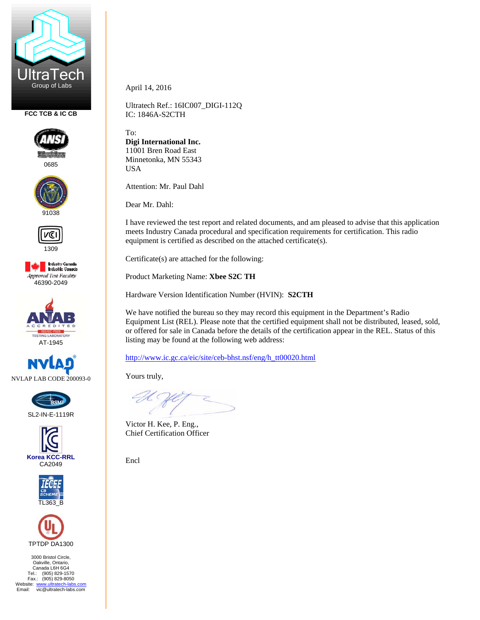

**FCC TCB & IC CB** 



0685





1309







SL2-IN-E-1119R







3000 Bristol Circle, Oakville, Ontario, Canada L6H 6G4 Tel.: (905) 829-1570 Fax.: (905) 829-8050 Website: www.ultratech-labs.com<br>Email: vic@ultratech-labs.com April 14, 2016

Ultratech Ref.: 16IC007\_DIGI-112Q IC: 1846A-S2CTH

To: **Digi International Inc.**  11001 Bren Road East Minnetonka, MN 55343 USA

Attention: Mr. Paul Dahl

Dear Mr. Dahl:

I have reviewed the test report and related documents, and am pleased to advise that this application meets Industry Canada procedural and specification requirements for certification. This radio equipment is certified as described on the attached certificate(s).

Certificate(s) are attached for the following:

Product Marketing Name: **Xbee S2C TH** 

Hardware Version Identification Number (HVIN): **S2CTH** 

We have notified the bureau so they may record this equipment in the Department's Radio Equipment List (REL). Please note that the certified equipment shall not be distributed, leased, sold, or offered for sale in Canada before the details of the certification appear in the REL. Status of this listing may be found at the following web address:

http://www.ic.gc.ca/eic/site/ceb-bhst.nsf/eng/h\_tt00020.html

Yours truly,

Victor H. Kee, P. Eng., Chief Certification Officer

Encl